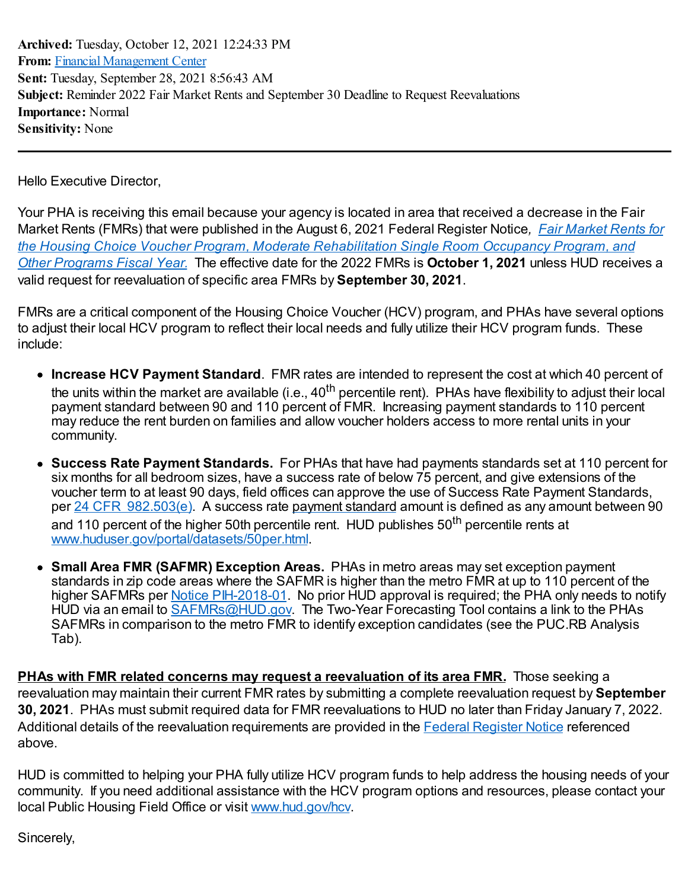**Archived:** Tuesday, October 12, 2021 12:24:33 PM **From:** Financial [Management](mailto:FinancialManagementCenter@hud.gov) Center **Sent:** Tuesday, September 28, 2021 8:56:43 AM **Subject:** Reminder 2022 Fair Market Rents and September 30 Deadline to Request Reevaluations **Importance:** Normal **Sensitivity:** None

Hello Executive Director,

Your PHA is receiving this email because your agency is located in area that received a decrease in the Fair Market Rents (FMRs) that were published in the August 6, 2021 Federal Register Notice*, Fair Market Rents for the Housing Choice Voucher Program, Moderate [Rehabilitation](https://www.federalregister.gov/documents/2021/08/06/2021-16148/fair-market-rents-for-the-housing-choice-voucher-program-moderate-rehabilitation-single-room) Single Room Occupancy Program, and Other Programs Fiscal Year.* The effective date for the 2022 FMRs is **October 1, 2021** unless HUD receives a valid request for reevaluation of specific area FMRs by **September 30, 2021**.

FMRs are a critical component of the Housing Choice Voucher (HCV) program, and PHAs have several options to adjust their local HCV program to reflect their local needs and fully utilize their HCV program funds. These include:

- **Increase HCV Payment Standard**. FMR rates are intended to represent the cost at which 40 percent of the units within the market are available (i.e., 40<sup>th</sup> percentile rent). PHAs have flexibility to adjust their local payment standard between 90 and 110 percent of FMR. Increasing payment standards to 110 percent may reduce the rent burden on families and allow voucher holders access to more rental units in your community.
- **Success Rate Payment Standards.** For PHAs that have had payments standards set at 110 percent for six months for all bedroom sizes, have a success rate of below 75 percent, and give extensions of the voucher term to at least 90 days, field offices can approve the use of Success Rate Payment Standards, per 24 CFR [982.503\(e\)](https://www.ecfr.gov/current/title-24/subtitle-B/chapter-IX/part-982/subpart-K). A success rate payment [standard](https://www.law.cornell.edu/definitions/index.php?width=840&height=800&iframe=true&def_id=807ae98f4503bbd740fce8f6bd317021&term_occur=999&term_src=Title:24:Subtitle:B:Chapter:IX:Part:982:Subpart:K:982.503) amount is defined as any amount between 90 and 110 percent of the higher 50th percentile rent. HUD publishes 50<sup>th</sup> percentile rents at [www.huduser.gov/portal/datasets/50per.html](http://www.huduser.gov/portal/datasets/50per.html).
- **Small Area FMR (SAFMR) Exception Areas.** PHAs in metro areas may set exception payment standards in zip code areas where the SAFMR is higher than the metro FMR at up to 110 percent of the higher SAFMRs per Notice [PIH-2018-01.](https://www.hud.gov/sites/dfiles/PIH/documents/PIH-2018-01.pdf) No prior HUD approval is required; the PHA only needs to notify HUD via an email to [SAFMRs@HUD.gov.](mailto:SAFMRs@HUD.gov) The Two-Year Forecasting Tool contains a link to the PHAs SAFMRs in comparison to the metro FMR to identify exception candidates (see the PUC.RB Analysis Tab).

**PHAs with FMR related concerns may request a reevaluation of its area FMR.** Those seeking a reevaluation may maintain their current FMR rates by submitting a complete reevaluation request by **September 30, 2021**. PHAs must submit required data for FMR reevaluations to HUD no later than Friday January 7, 2022. Additional details of the reevaluation requirements are provided in the Federal [Register](file:///C:/Users/H54041/AppData/Local/Temp/1/KofaxMailProcessor/Mail_1/Fair Market Rents for the Housing Choice Voucher Program, Moderate Rehabilitation Single Room Occupancy Program, and Other Programs Fiscal Year) Notice referenced above.

HUD is committed to helping your PHA fully utilize HCV program funds to help address the housing needs of your community. If you need additional assistance with the HCV program options and resources, please contact your local Public Housing Field Office or visit [www.hud.gov/hcv](http://www.hud.gov/hcv).

Sincerely,